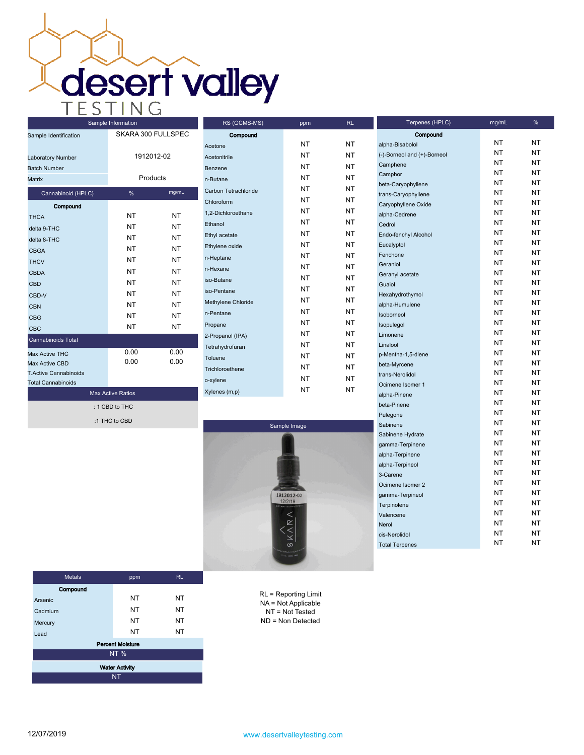**desert valley** 

| Sample Identification        | SKARA 300 FULLSPEC |            |  |  |  |  |
|------------------------------|--------------------|------------|--|--|--|--|
| Laboratory Number            |                    | 1912012-02 |  |  |  |  |
| <b>Batch Number</b>          |                    |            |  |  |  |  |
| Matrix                       |                    | Products   |  |  |  |  |
| Cannabinoid (HPLC)           | %                  | mg/mL      |  |  |  |  |
| Compound                     |                    |            |  |  |  |  |
| <b>THCA</b>                  | NΤ                 | NT         |  |  |  |  |
| delta 9-THC                  | NT                 | <b>NT</b>  |  |  |  |  |
| delta 8-THC                  | NT                 | NT         |  |  |  |  |
| <b>CBGA</b>                  | NT                 | <b>NT</b>  |  |  |  |  |
| <b>THCV</b>                  | NT                 | NT         |  |  |  |  |
| CBDA                         | NT                 | <b>NT</b>  |  |  |  |  |
| <b>CBD</b>                   | NΤ                 | NT         |  |  |  |  |
| CBD-V                        | <b>NT</b>          | NT         |  |  |  |  |
| CBN                          | NT                 | NT         |  |  |  |  |
| <b>CBG</b>                   | NT                 | NT         |  |  |  |  |
| <b>CBC</b>                   | NT                 | NT         |  |  |  |  |
| Cannabinoids Total           |                    |            |  |  |  |  |
| <b>Max Active THC</b>        | 0.00               | 0.00       |  |  |  |  |
| Max Active CBD               | 0.00               | 0.00       |  |  |  |  |
| <b>T.Active Cannabinoids</b> |                    |            |  |  |  |  |
| <b>Total Cannabinoids</b>    |                    |            |  |  |  |  |
| <b>Max Active Ratios</b>     |                    |            |  |  |  |  |
| : 1 CBD to THC               |                    |            |  |  |  |  |

:1 THC to CBD

Compound Acetone NT NT NT Acetonitrile NT NT NT Benzene NT NT n-Butane NT NT NT Carbon Tetrachloride NT NT Chloroform NT NT 1,2-Dichloroethane NT NT NT Ethanol NT NT NT Ethyl acetate NT NT NT Ethylene oxide NT NT NT n-Heptane NT NT NT n-Hexane NT NT NT iso-Butane NT NT iso-Pentane NT NT Methylene Chloride NT NT NT n-Pentane NT NT NT Propane NT NT NT 2-Propanol (IPA) NT NT Tetrahydrofuran NT NT Toluene NT NT NT Trichloroethene NT NT NT o-xylene NT NT NT Xylenes (m,p) NT NT

RS (GCMS-MS) ppm RL



| alpha-Bisabolol             | ΝT | NΤ |
|-----------------------------|----|----|
| (-)-Borneol and (+)-Borneol | NT | NΤ |
| Camphene                    | NT | NΤ |
| Camphor                     | NΤ | NT |
| beta-Caryophyllene          | NT | NΤ |
| trans-Caryophyllene         | NT | NΤ |
| Caryophyllene Oxide         | NT | NT |
| alpha-Cedrene               | NΤ | NΤ |
| Cedrol                      | NΤ | NΤ |
| Endo-fenchyl Alcohol        | NΤ | NΤ |
| Eucalyptol                  | NΤ | NΤ |
| Fenchone                    | NΤ | NΤ |
| Geraniol                    | NΤ | NΤ |
| Geranyl acetate             | NT | NΤ |
| Guaiol                      | NΤ | NT |
| Hexahydrothymol             | NΤ | NΤ |
| alpha-Humulene              | NΤ | NΤ |
| Isoborneol                  | NT | NΤ |
| Isopulegol                  | NT | NΤ |
| Limonene                    | NT | NT |
| Linalool                    | NΤ | NΤ |
| p-Mentha-1,5-diene          | NT | NΤ |
| beta-Myrcene                | NT | NΤ |
| trans-Nerolidol             | NT | NΤ |
| Ocimene Isomer 1            | ΝT | NΤ |
| alpha-Pinene                | NΤ | NΤ |
| beta-Pinene                 | NΤ | NΤ |
| Pulegone                    | NΤ | NΤ |
| Sabinene                    | NT | NT |
| Sabinene Hydrate            | NT | NΤ |
| gamma-Terpinene             | NT | NT |
| alpha-Terpinene             | NT | NT |
| alpha-Terpineol             | NΤ | NΤ |
| 3-Carene                    | NΤ | NΤ |
| Ocimene Isomer 2            | NΤ | NΤ |
| gamma-Terpineol             | NΤ | NΤ |
| Terpinolene                 | NT | NT |
| Valencene                   | NΤ | NΤ |
| Nerol                       | NT | NT |
| cis-Nerolidol               | NΤ | NT |
| <b>Total Terpenes</b>       | NT | NT |
|                             |    |    |

Compound

Terpenes (HPLC) mg/mL %

| <b>Metals</b>           | ppm       | <b>RL</b> |  |  |  |
|-------------------------|-----------|-----------|--|--|--|
| Compound                |           |           |  |  |  |
| Arsenic                 | <b>NT</b> | NT        |  |  |  |
| Cadmium                 | <b>NT</b> | <b>NT</b> |  |  |  |
| Mercury                 | <b>NT</b> | <b>NT</b> |  |  |  |
| Lead                    | <b>NT</b> | <b>NT</b> |  |  |  |
| <b>Percent Moisture</b> |           |           |  |  |  |
| <b>NT%</b>              |           |           |  |  |  |
| <b>Water Activity</b>   |           |           |  |  |  |
| <b>NT</b>               |           |           |  |  |  |

RL = Reporting Limit NA = Not Applicable NT = Not Tested ND = Non Detected